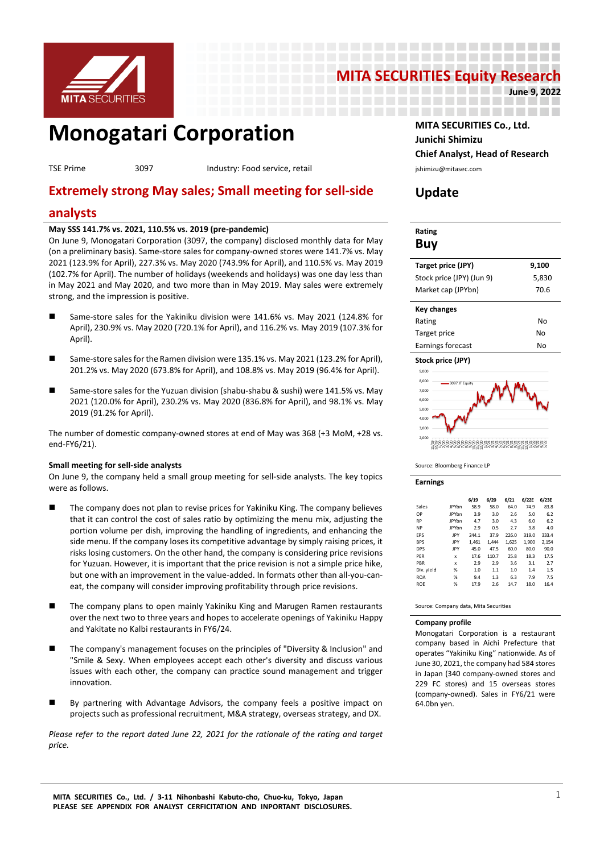

# **MITA SECURITIES Equity Research**

-----------------------------------------

-----------------\_\_\_\_\_\_\_\_\_\_\_\_\_\_\_\_\_\_\_\_\_\_\_\_\_

**June 9, 2022**

# **MONOGATARI CORPORATION** MITA SECURITIES Co., Ltd.

TSE Prime 3097 and the service, retail and the service of the service of the service of the service of the service, retail is a service, retail service, retail and the service, retail and the service, retail and the servic

# **Extremely strong May sales; Small meeting for sell-side**

### **analysts**

#### **May SSS 141.7% vs. 2021, 110.5% vs. 2019 (pre-pandemic)**

On June 9, Monogatari Corporation (3097, the company) disclosed monthly data for May (on a preliminary basis). Same-store sales for company-owned stores were 141.7% vs. May 2021 (123.9% for April), 227.3% vs. May 2020 (743.9% for April), and 110.5% vs. May 2019 (102.7% for April). The number of holidays (weekends and holidays) was one day less than in May 2021 and May 2020, and two more than in May 2019. May sales were extremely strong, and the impression is positive.

- Same-store sales for the Yakiniku division were 141.6% vs. May 2021 (124.8% for April), 230.9% vs. May 2020 (720.1% for April), and 116.2% vs. May 2019 (107.3% for April).
- Same-store sales for the Ramen division were 135.1% vs. May 2021 (123.2% for April), 201.2% vs. May 2020 (673.8% for April), and 108.8% vs. May 2019 (96.4% for April).
- Same-store sales for the Yuzuan division (shabu-shabu & sushi) were 141.5% vs. May 2021 (120.0% for April), 230.2% vs. May 2020 (836.8% for April), and 98.1% vs. May 2019 (91.2% for April).

The number of domestic company-owned stores at end of May was 368 (+3 MoM, +28 vs. end-FY6/21).

#### **Small meeting for sell-side analysts**

On June 9, the company held a small group meeting for sell-side analysts. The key topics were as follows.

- The company does not plan to revise prices for Yakiniku King. The company believes that it can control the cost of sales ratio by optimizing the menu mix, adjusting the portion volume per dish, improving the handling of ingredients, and enhancing the side menu. If the company loses its competitive advantage by simply raising prices, it risks losing customers. On the other hand, the company is considering price revisions for Yuzuan. However, it is important that the price revision is not a simple price hike, but one with an improvement in the value-added. In formats other than all-you-caneat, the company will consider improving profitability through price revisions.
- The company plans to open mainly Yakiniku King and Marugen Ramen restaurants over the next two to three years and hopes to accelerate openings of Yakiniku Happy and Yakitate no Kalbi restaurants in FY6/24.
- The company's management focuses on the principles of "Diversity & Inclusion" and "Smile & Sexy. When employees accept each other's diversity and discuss various issues with each other, the company can practice sound management and trigger innovation.
- By partnering with Advantage Advisors, the company feels a positive impact on projects such as professional recruitment, M&A strategy, overseas strategy, and DX.

*Please refer to the report dated June 22, 2021 for the rationale of the rating and target price.* 

**Junichi Shimizu Chief Analyst, Head of Research**

## **Update**

| Rating |  |
|--------|--|
| Buy    |  |

| Target price (JPY)        | 9,100 |
|---------------------------|-------|
| Stock price (JPY) (Jun 9) | 5,830 |
| Market cap (JPYbn)        | 70.6  |
|                           |       |
| <b>Key changes</b>        |       |
|                           | . .   |

| Rating            | No |
|-------------------|----|
| Target price      | No |
| Earnings forecast | No |





Source: Bloomberg Finance LP

**Earnings**

|            |              | 6/19  | 6/20  | 6/21  | 6/22E | 6/23E |
|------------|--------------|-------|-------|-------|-------|-------|
| Sales      | <b>IPYbn</b> | 58.9  | 58.0  | 64.0  | 74.9  | 83.8  |
| OP         | <b>IPYbn</b> | 3.9   | 3.0   | 2.6   | 5.0   | 6.2   |
| <b>RP</b>  | <b>IPYbn</b> | 4.7   | 3.0   | 4.3   | 6.0   | 6.2   |
| <b>NP</b>  | <b>IPYbn</b> | 2.9   | 0.5   | 2.7   | 3.8   | 4.0   |
| <b>FPS</b> | IPY          | 244.1 | 37.9  | 226.0 | 319.0 | 333.4 |
| <b>BPS</b> | JPY          | 1.461 | 1.444 | 1.625 | 1.900 | 2.154 |
| <b>DPS</b> | JPY          | 45.0  | 47.5  | 60.0  | 80.0  | 90.0  |
| PFR        | x            | 17.6  | 110.7 | 25.8  | 18.3  | 17.5  |
| PBR        | x            | 2.9   | 2.9   | 3.6   | 3.1   | 2.7   |
| Div. yield | %            | 1.0   | 1.1   | 1.0   | 1.4   | 1.5   |
| <b>ROA</b> | %            | 9.4   | 1.3   | 6.3   | 7.9   | 7.5   |
| <b>ROE</b> | %            | 17.9  | 2.6   | 14.7  | 18.0  | 16.4  |

Source: Company data, Mita Securities

#### **Company profile**

Monogatari Corporation is a restaurant company based in Aichi Prefecture that operates "Yakiniku King" nationwide. As of June 30, 2021, the company had 584 stores in Japan (340 company-owned stores and 229 FC stores) and 15 overseas stores (company-owned). Sales in FY6/21 were 64.0bn yen.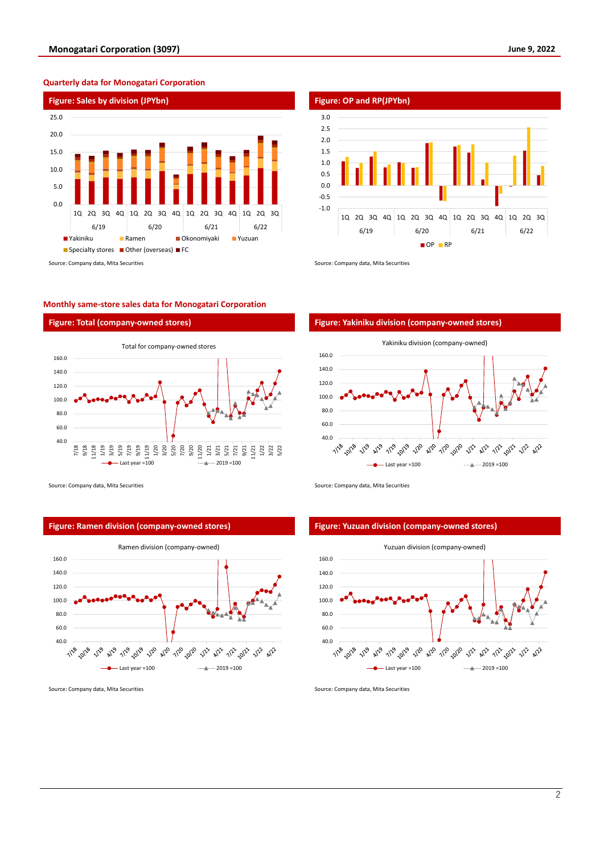#### **Quarterly data for Monogatari Corporation**



#### **Monthly same-store sales data for Monogatari Corporation**



Source: Company data, Mita Securities Source: Company data, Mita Securities Source: Company data, Mita Securities



Source: Company data, Mita Securities Source: Company data, Mita Securities Source: Company data, Mita Securities





#### **Figure: Ramen division (company-owned stores) Figure: Yuzuan division (company-owned stores)**

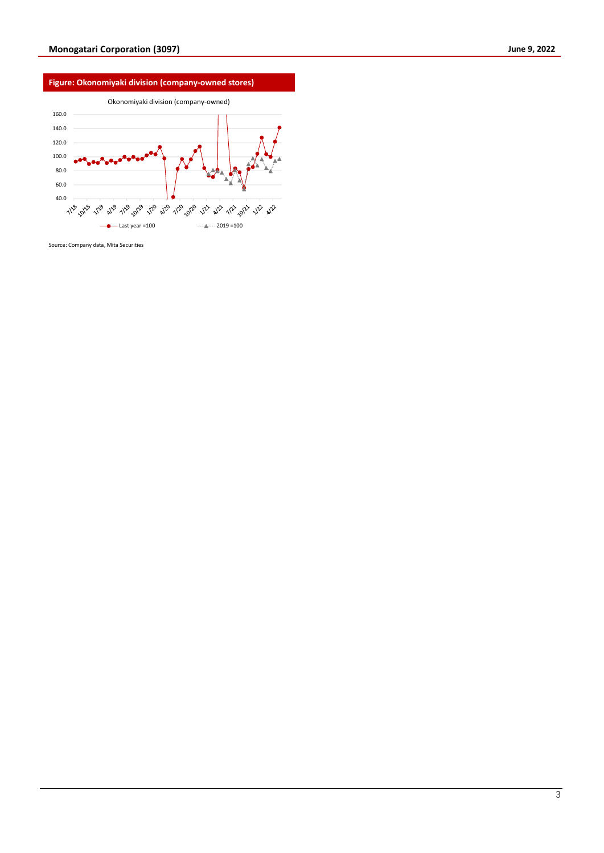

Source: Company data, Mita Securities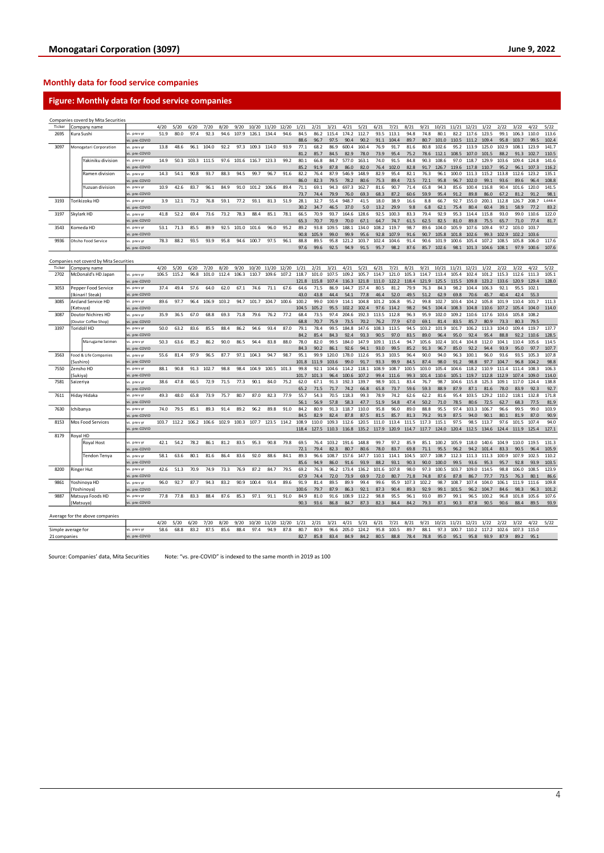#### **Monthly data for food service companies**

#### **Figure: Monthly data for food service companies**

|                    |                                         | Companies coverd by Mita Securities |                              |       |       |       |       |       |       |       |             |       |              |              |               |               |               |               |               |              |              |               |               |                        |                |               |                   |               |                |
|--------------------|-----------------------------------------|-------------------------------------|------------------------------|-------|-------|-------|-------|-------|-------|-------|-------------|-------|--------------|--------------|---------------|---------------|---------------|---------------|---------------|--------------|--------------|---------------|---------------|------------------------|----------------|---------------|-------------------|---------------|----------------|
| Ticker             |                                         | Company name                        |                              | 4/20  | 5/20  | 6/20  | 7/20  | 8/20  | 9/20  | 10/20 | 11/20       | 12/20 | 1/21         | 2/21         | 3/21          | 4/21          | 5/21          | 6/21          | 7/21          | 8/21         | 9/21         | 10/21         | 11/21         | 12/21                  | 1/22           | 2/22          | 3/22              | 4/22          | 5/22           |
| 2695               |                                         | Kura Sushi                          | vs. prev yr                  | 51.9  | 80.0  | 97.4  | 92.3  | 94.6  | 107.9 | 126.1 | 134.4       | 94.6  | 84.5         | 86.2         | 115.4         | 174.2         | 112.7         | 93.5          | 113.1         | 94.8         | 74.8         | 80.1          | 82.2          | 117.6                  | 123.5          | 99.1          | 106.3             | 110.0         | 113.6          |
|                    |                                         |                                     | vs. pre-COVID                |       |       |       |       |       |       |       |             |       | 88.6         | 96.7         | 97.5          | 90.4          | 90.2          | 91.1          | 104.4         | 89.7         | 80.7         | 101.0         | 110.5         | 111.2                  | 109.4          | 95.8          | 103.7             | 99.5          | 102.4          |
| 3097               |                                         | Monogatari Corporation              | vs. prev y                   | 13.8  | 48.6  | 96.1  | 104.0 | 92.2  | 97.3  | 109.3 | 114.0       | 93.9  | 77.1         | 68.2         | 86.9          | 600.4         | 160.4         | 76.9          | 91.7          | 81.6         | 80.8         | 102.6         | 95.2          | 113.9                  | 125.0          | 102.9         | 108.1             | 123.9         | 141.7          |
|                    |                                         |                                     | vs. pre-COVID                |       |       |       |       |       |       |       |             |       | 81.2         | 85.7         | 84.5          | 82.9          | 78.0          | 73.9          | 95.4          | 75.2         | 78.6         | 112.1         | 108.5         | 107.0                  | 101.5          | 88.2          | 91.3              | 102.7         | 110.5          |
|                    |                                         | Yakiniku division                   | vs. prev yr                  | 14.9  | 50.3  | 103.3 | 111.5 | 97.6  | 101.6 | 116.7 | 123.3       | 99.2  | 80.1         | 66.8         | 84.7          | 577.0         | 163.1         | 74.0          | 91.5          | 84.8         | 90.3         | 108.6         | 97.0          | 118.7                  | 129.9          | 103.6         | 109.4             | 124.8         | 141.6          |
|                    |                                         |                                     | vs. pre-COVIC                |       |       |       |       |       |       |       |             |       | 85.2         | 91.9         | 87.8          | 86.0          | 82.0          | 76.4          | 102.0         | 82.8         | 91.7         | 126.7         | 119.6         | 117.8                  | 110.7          | 95.2          | 96.1              | 107.3         | 116.2          |
|                    |                                         | Ramen division                      | vs. prev yr                  | 14.3  | 54.1  | 90.8  | 93.7  | 88.3  | 94.5  | 99.7  | 96.7        | 91.6  | 82.2         | 76.4         | 87.9          | 546.9         | 148.9         | 82.9          | 95.4          | 82.1         | 76.3         | 96.1          | 100.0         | 111.3                  | 115.2          | 113.8         | 112.6             | 123.2         | 135.1          |
|                    |                                         |                                     | vs. pre-COVID                |       |       |       |       |       |       |       |             |       | 86.0         | 82.3         | 79.5          | 78.2          | 80.6          | 75.3          | 89.4          | 72.5         | 72.1         | 95.8          | 96.7          | 102.0                  | 99.1           | 93.6          | 89.6              | 96.4          | 108.8          |
|                    |                                         | Yuzuan division                     | vs. prev yr                  | 10.9  | 42.6  | 83.7  | 96.1  | 84.9  | 91.0  | 101.2 | 106.6       | 89.4  | 71.1         | 69.1         | 94.3          | 697.3         | 162.7         | 81.6          | 90.7          | 71.4         | 65.8         | 94.3          | 85.6          | 100.4                  | 116.8          | 90.4          | 101.6             | 120.0         | 141.5          |
|                    |                                         |                                     | vs. pre-COVID                |       |       |       |       |       |       |       |             |       | 73.7         | 74.4         | 79.9          | 76.0          | 69.3          | 68.3          | 87.2          | 60.6         | 59.9         | 95.4          | 91.2          | 89.8                   | 86.0           | 67.2          | 81.2              | 91.2          | 98.1           |
| 3193               |                                         | Torikizoku HD                       | vs. prev yr                  | 3.9   | 12.1  | 73.2  | 76.8  | 59.1  | 77.2  | 93.1  | 81.3        | 51.9  | 28.1         | 32.7         | 55.4          | 948.7         | 41.5          | 18.0          | 38.9          | 16.6         | 8.8          | 66.7          | 92.7          | 155.0                  | 200.1          | 112.8         | 126.7             | 208.7         | 1,648.4        |
|                    |                                         |                                     | vs. pre-COVID                |       |       |       |       |       |       |       |             |       | 30.2         | 34.7         | 46.5          | 37.0          | 5.0           | 13.2          | 29.9          | 9.8          | 6.8          | 62.1          | 75.4          | 80.4                   | 60.4           | 39.1          | 58.9              | 77.2          | 83.2           |
| 3197               |                                         | Skylark HD                          | vs. prev yr                  | 41.8  | 52.2  | 69.4  | 73.6  | 73.2  | 78.3  | 88.4  | 85.1        | 78.1  | 66.5         | 70.9         | 93.7          | 164.6         | 128.6         | 92.5          | 100.3         | 83.3         | 79.4         | 92.9          | 95.3          | 114.4                  | 115.8          | 93.0          | 99.0              | 110.6         | 122.0          |
|                    |                                         |                                     | vs. pre-COVID                |       |       |       |       |       |       |       |             |       | 65.3         | 70.7         | 70.9          | 70.0          | 67.1          | 64.7          | 74.7          | 61.5         | 62.5         | 82.5          | 81.0          | 89.8                   | 75.5           | 65.7          | 71.0              | 77.4          | 81.7           |
| 3543               |                                         | Komeda HD                           | vs. prev yr                  | 53.1  | 71.3  | 85.5  | 89.9  | 92.5  | 101.0 | 101.6 | 96.0        | 95.2  | 89.2         | 93.8         | 109.5         | 188.1         | 134.0         | 108.2         | 119.7         | 98.7         | 89.6         | 104.0         | 105.9         | 107.6                  | 109.4          | 97.2          | 103.0             | 103.7         |                |
|                    |                                         |                                     | vs. pre-COVID                |       |       |       |       |       |       |       |             |       | 90.8         | 105.9        | 99.0          | 99.9          | 95.6          | 92.8          | 107.9         | 91.6         | 90.7         | 105.8         | 101.8         | 102.6                  | 99.3           | 102.9         | 102.2             | 103.6         |                |
| 9936               |                                         | Ohsho Food Service                  | vs. prev yi                  | 78.3  | 88.2  | 93.5  | 93.9  | 95.8  | 94.6  | 100.7 | 97.5        | 96.1  | 88.8         | 89.5         | 95.8          | 121.2         | 103.7         | 102.4         | 104.6         | 91.4         | 90.6         | 101.9         | 100.6         | 105.4                  | 107.2          | 108.5         | 105.8             | 106.0         | 117.6          |
|                    |                                         |                                     | vs. pre-COVID                |       |       |       |       |       |       |       |             |       | 97.6         | 99.6         | 92.5          | 94.9          | 91.5          | 95.7          | 98.2          | 87.6         |              | 85.7 102.6    |               | 98.1 101.3 104.6 108.1 |                |               |                   | 97.9 100.6    | 107.6          |
|                    | Companies not coverd by Mita Securities |                                     |                              |       |       |       |       |       |       |       |             |       |              |              |               |               |               |               |               |              |              |               |               |                        |                |               |                   |               |                |
| Ticker             |                                         | Company name                        |                              | 4/20  | 5/20  | 6/20  | 7/20  | 8/20  | 9/20  | 10/20 | 11/20       | 12/20 | 1/21         | 2/21         | 3/21          | 4/21          | 5/21          | 6/21          | 7/21          | 8/21         | 9/21         | 10/21         | 11/21         | 12/21                  | 1/22           | 2/22          | 3/22              | 4/22          | 5/22           |
| 2702               |                                         | McDonald's HD Japan                 | vs. prev vi                  | 106.5 | 115.2 | 96.8  | 101.0 | 112.4 | 106.3 | 110.7 | 109.6       | 107.2 | 118.7        | 101.0        | 107.5         | 109.2         | 105.7         | 114.7         | 121.0         | 105.3        | 114.7        | 113.4         | 105.4         | 102.4                  | 101.2          | 115.3         | 112.6             | 111.3         | 105.1          |
|                    |                                         |                                     | s. pre-COVID                 |       |       |       |       |       |       |       |             |       | 121.8        | 115.8        | 107.4         | 116.3         | 121.8         | 111.0         | 122.2         | 118.4        | 121.9        | 125.5         | 115.5         | 109.8                  | 123.2          | 133.6         | 120.9             | 129.4         | 128.0          |
| 3053               |                                         | Pepper Food Service                 | vs. prev y                   | 37.4  | 49.4  | 57.6  | 64.0  | 62.0  | 67.1  | 74.6  | 71.1        | 67.6  | 64.6         | 71.5         | 86.9          | 144.7         | 157.4         | 80.5          | 81.2          | 79.9         | 76.3         | 84.3          | 98.2          | 104.4                  | 106.3          | 92.1          | 95.5              | 102.1         |                |
|                    |                                         | [Ikinari! Steak]                    | vs. pre-COVID                |       |       |       |       |       |       |       |             |       | 43.0         | 43.8         | 44.4          | 54.1          | 77.8          | 46.4          | 52.0          | 49.5         | 51.2         | 62.9          | 69.8          | 70.6                   | 45.7           | 40.4          | 42.4              | 55.3          |                |
| 3085               |                                         | Arcland Service HD                  | vs. prev yr                  | 89.6  | 97.7  | 96.4  | 106.9 | 103.2 | 94.7  | 101.7 | 104.7       | 100.6 | 100.2        | 99.0         | 100.9         | 114.1         | 104.8         | 101.2         | 106.8         | 95.2         | 99.8         | 102.7         | 103.4         | 104.2                  | 105.8          | 101.9         | 110.4             | 101.7         | 111.3          |
|                    | Katsuval                                |                                     | vs. pre-COVID                |       |       |       |       |       |       |       |             |       | 104.5        | 105.2        | 95.5          | 102.2         | 102.4         | 97.6          | 114.2         | 98.2         | 94.5         | 104.4         | 108.3         | 104.8                  | 110.6          | 107.2         | 105.4             | 104.0         | 114.0          |
| 3087               |                                         | Doutor Nichires HD                  | rs. prev yr                  | 35.9  | 36.5  | 67.0  | 68.8  | 69.3  | 71.8  | 79.6  | 76.2        | 77.2  | 68.4         | 73.5         | 97.4          | 204.6         | 192.3         | 113.5         | 112.8         | 96.3         | 95.9         | 102.0         | 109.2         | 110.6                  | 117.6          | 103.6         | 105.8             | 108.2         |                |
|                    |                                         | Doutor Coffee Shop)                 | vs. pre-COVID                |       |       |       |       |       |       |       |             |       | 68.8         | 70.7         | 75.9          | 73.5          | 70.2          | 76.2          | 77.9          | 67.0         | 69.1         | 81.4          | 83.5          | 85.7                   | 80.9           | 73.3          | 80.3              | 79.5          |                |
| 3397               |                                         | Toridoll HD                         | vs. prev vi                  | 50.0  | 63.2  | 83.6  | 85.5  | 88.4  | 86.2  | 94.6  | 93.4        | 87.0  | 79.1         | 78.4         | 99.5          | 184.8         | 147.6         | 108.3         | 113.5         | 94.5         | 103.2        | 101.9         | 101.7         | 106.2                  | 113.3          | 104.0         | 109.4             | 119.7         | 137.7          |
|                    |                                         |                                     | vs. pre-COVID                |       |       |       |       |       |       |       |             |       | 84.7         | 85.4         | 84.3          | 92.4          | 93.3          | 90.5          | 97.0          | 83.5         | 89.0         | 96.4          | 95.0          | 92.4                   | 95.4           | 88.8          | 92.2              | 110.6         | 128.5          |
|                    |                                         | Marugame Seimen                     | vs. prev y                   | 50.3  | 63.6  | 85.2  | 86.2  | 90.0  | 86.5  | 944   | 83.8        | 88.0  | 78.0         | 82.0         | 99.5          | 184.0         | 147.9         | 109.1         | 115.4         | 94.7         | 105.6        | 102.4         | 101.4         | 104.8                  | 112.0          | 104.1         | 110.4             | 105.6         | 114.5          |
|                    |                                         |                                     | vs. pre-COVID                |       |       |       |       |       |       |       |             |       | 84.3         | 90.2         | 86.1          | 92.6          | 94.1          | 93.0          | 99.5          | 85.2         | 91.3         | 96.7          | 85.0          | 92.2                   | 94.4           | 93.9          | 95.0              | 97.7          | 107.7          |
| 3563               |                                         | ood & Life Companies                | vs. prev vr                  | 55.6  | 81.4  | 97.9  | 96.5  | 87.7  | 97.1  | 104.3 | 94.7        | 98.7  | 95.1         | 99.9         | 120.0         | 178.0         | 112.6         | 95.3          | 103.5         | 96.4         | 90.0         | 94.0          | 96.3          | 100.1                  | 96.0           | 93.6          | 93.5              | 105.3         | 107.8          |
|                    | Sushiro                                 |                                     | vs. pre-COVID                |       |       |       |       |       |       |       |             |       | 101.8        | 111.9        | 103.6         | 99.0          | 91.7          | 93.3          | 99.9          | 84.5         | 87.4         | 98.0          | 91.2          | 98.8                   | 97.7           | 104.7         | 96.8              | 104.2         | 98.8           |
| 7550               |                                         | Zensho HD                           | vs. prev yr                  | 88.1  | 90.8  | 91.3  | 102.7 | 98.8  | 98.4  | 104.9 | 100.5       | 101.3 | 99.8         | 92.1         | 104.6         | 114.2         | 118.1         | 108.9         | 108.7         | 100.5        | 103.0        | 105.4         | 104.6         | 118.2                  | 110.9          | 111.4         | 111.4             | 108.3         | 106.3          |
|                    | Sukiya)                                 |                                     | vs. pre-COVID                |       |       |       |       |       |       |       |             |       | 101.7        | 101.3        | 96.4          | 100.6         | 107.2         | 99.4          | 111.6         | 99.3         | 101.4        | 110.6         | 105.1         | 119.7                  | 112.8          | 112.9         | 107.4             | 109.0         | 114.0          |
| 7581               | Saizeriya                               |                                     | vs. prev vi                  | 38.6  | 47.8  | 66.5  | 72.9  | 71.5  | 77.3  | 90.1  | 84.0        | 75.2  | 62.0         | 67.1         | 91.3          | 192.3         | 139.7         | 98.9          | 101.1         | 83.4         | 76.7         | 98.7          | 104.6         | 115.8                  | 125.3          | 109.1         | 117.0             | 124.4         | 138.8          |
|                    |                                         |                                     | s. pre-COVID                 |       |       |       |       |       |       |       |             |       | 65.2         | 71.5         | 71.7          | 74.2          | 66.8          | 65.8          | 73.7          | 59.6         | 59.3         | 88.9          | 87.9          | 87.1                   | 81.6           | 78.0          | 83.9              | 92.3          | 92.7           |
| 7611               |                                         | Hiday Hidaka                        | vs. prev y                   | 49.3  | 48.0  | 65.8  | 73.9  | 75.7  | 80.7  | 87.0  | 82.3        | 77.9  | 55.7         | 54.3         | 70.5          | 118.3         | 99.3          | 78.9          | 74.2          | 62.6         | 62.2         | 81.6          | 95.4          | 103.5                  | 129.2          | 110.2         | 118.1             | 132.8         | 171.8          |
|                    |                                         |                                     | vs. pre-COVID                |       |       |       |       |       |       |       |             |       | 56.1         | 56.9         | 57.8          | 58.3          | 47.7          | 51.9          | 54.8          | 47.4         | 50.2         | 71.0          | 78.5          | 80.6                   | 72.5           | 62.7          | 68.3              | 77.5          | 81.9           |
| 7630               |                                         | Ichibanya                           | vs. prev yr                  | 74.0  | 79.5  | 85.1  | 89.3  | 91.4  | 89.2  | 96.2  | 89.8        | 91.0  | 84.2         | 80.9         | 91.3          | 118.7         | 110.0         | 95.8          | 96.0          | 89.0         | 88.8         | 95.5          | 97.4          | 103.3                  | 106.7          | 96.6          | 99.5              | 99.0          | 103.9          |
|                    |                                         |                                     | vs. pre-COVID                |       |       |       |       |       |       |       |             |       | 84.5         | 82.9         | 82.4          | 87.8          | 87.5          | 81.5          | 85.7          | 81.3         | 79.2         | 91.9          | 87.5          | 94.0                   | 90.1           | 80.1          | 81.9              | 87.0          | 90.9           |
| 8153               |                                         | <b>Mos Food Services</b>            | rs. prev y                   | 103.7 | 112.2 | 106.2 | 106.6 | 102.9 | 100.3 | 107.7 | 123.5 114.2 |       | 108.9        | 110.0        | 109.3         | 112.6         | 120.5         | 111.0         | 113.4         | 111.5        | 117.3        | 115.1         | 97.5          | 98.5                   | 113.7          | 97.6          | 101.5             | 107.4         | 94.0           |
|                    |                                         |                                     | vs. pre-COVID                |       |       |       |       |       |       |       |             |       | 118.4        | 127.5        |               | 110.3 116.8   | 135.2         | 117.9 120.9   |               | 114.7        | 117.7        | 124.0         | 120.4         | 112.5                  |                |               | 134.6 124.4 111.9 | 125.4         | 127.1          |
| 8179               | Royal HD                                |                                     |                              |       |       |       |       |       |       |       |             |       |              |              |               |               |               |               |               |              |              |               |               |                        |                |               |                   |               |                |
|                    |                                         | Royal Host                          | vs. prev yr<br>vs. pre-COVID | 42.1  | 54.2  | 78.2  | 86.1  | 81.2  | 83.5  | 95.3  | 90.8        | 79.8  | 69.5         | 76.4<br>79.4 | 103.2<br>82.3 | 191.6<br>80.7 | 148.8<br>80.6 | 99.7          | 97.2          | 85.9<br>69.8 | 85.1<br>71.1 | 100.2<br>95.5 | 105.9<br>96.2 | 118.0<br>94.2          | 140.6<br>101.4 | 104.9         | 110.0<br>90.5     | 119.5<br>96.4 | 131.3<br>105.9 |
|                    |                                         |                                     |                              | 58.1  | 63.6  | 80.1  | 81.6  | 86.4  | 83.6  | 92.0  | 88.6        | 84.1  | 72.1<br>89.3 | 96.6         | 108.7         | 157.6         | 147.7         | 78.0<br>110.1 | 83.7<br>114.1 | 104.5        | 107.7        | 108.7         | 112.3         | 111.3                  | 111.3          | 83.3<br>100.9 | 107.9             | 102.5         | 110.2          |
|                    |                                         | Tendon Tenya                        | vs. prev yi<br>vs. pre-COVID |       |       |       |       |       |       |       |             |       | 85.6         | 94.9         | 86.0          | 91.6          | 93.9          | 88.2          | 93.1          | 90.3         | 90.0         | 100.0         | 99.5          | 93.6                   | 95.3           | 95.7          | 92.8              | 93.9          | 103.5          |
| 8200               |                                         | Ringer Hut                          | vs. prev y                   | 42.6  | 51.3  | 70.9  | 74.9  | 73.3  | 76.9  | 87.2  | 84.7        | 79.5  | 69.2         | 76.3         | 96.2          | 173.4         | 136.2         | 101.6         | 107.8         | 98.0         | 97.3         | 100.5         | 103.7         | 109.0                  | 114.5          | 98.8          | 106.0             | 108.5         | 123.9          |
|                    |                                         |                                     | vs. pre-COVID                |       |       |       |       |       |       |       |             |       | 67.9         | 74.4         | 72.0          | 73.9          | 69.9          | 72.0          | 80.7          | 71.8         | 74.8         | 87.6          | 87.8          | 86.7                   | 77.7           | 73.5          | 76.3              | 80.1          | 86.6           |
| 9861               |                                         |                                     | vs. prev yr                  | 96.0  | 92.7  | 87.7  | 94.3  | 83.2  | 90.9  | 100.4 | 93.4        | 89.6  | 91.9         | 81.4         | 89.5          | 89.9          | 99.4          | 99.6          | 95.9          | 107.3        | 102.2        | 98.7          | 108.7         | 107.4                  | 104.0          | 106.1         | 111.9             | 111.6         | 109.8          |
|                    |                                         | Yoshinoya HD<br>Yoshinova           | vs. pre-COVID                |       |       |       |       |       |       |       |             |       | 100.6        | 79.7         | 87.9          | 86.3          | 92.1          | 87.3          | 90.4          | 89.3         | 92.9         | 99.1          | 101.5         | 96.2                   | 104.7          | 84.6          | 98.3              | 96.3          | 101.2          |
| 9887               |                                         | Matsuya Foods HD                    | vs. prev y                   | 77.8  | 77.8  | 83.3  | 88.4  | 87.6  | 85.3  | 97.1  | 91.1        | 91.0  | 84.9         | 81.0         | 91.6          | 108.9         | 112.2         | 98.8          | 95.5          | 96.1         | 93.0         | 89.7          | 99.1          | 96.5                   | 100.2          | 96.8          | 101.8             | 105.6         | 107.6          |
|                    |                                         | (Matsuya)                           | vs. pre-COVID                |       |       |       |       |       |       |       |             |       | 90.3         | 93.6         | 86.8          | 84.7          | 87.3          | 82.3          | 84.4          | 84.2         | 79.3         | 87.1          | 90.3          | 87.8                   | 90.5           | 90.6          | 88.4              | 89.5          | 93.9           |
|                    |                                         |                                     |                              |       |       |       |       |       |       |       |             |       |              |              |               |               |               |               |               |              |              |               |               |                        |                |               |                   |               |                |
|                    |                                         | Average for the above companies     |                              |       |       |       |       |       |       |       |             |       |              |              |               |               |               |               |               |              |              |               |               |                        |                |               |                   |               |                |
|                    |                                         |                                     |                              | 4/20  | 5/20  | 6/20  | 7/20  | 8/20  | 9/20  | 10/20 | 11/20       | 12/20 | 1/21         | 2/21         | 3/21          | 4/21          | 5/21          | 6/21          | 7/21          | 8/21         | 9/21         | 10/21         | 11/21         | 12/21                  | 1/22           | 2/22          | 3/22              | 4/22          | 5/22           |
| Simple average for |                                         |                                     | vs. prev yr                  | 58.6  | 68.8  | 83.2  | 87.5  | 85.6  | 88.4  | 97.4  | 94.9        | 87.8  | 80.7         | 80.9         | 96.6          | 205.0         | 124.2         | 95.8          | 100.5         | 89.7         | 88.1         | 97.3          | 100.7         | 110.2                  | 117.2          | 102.6         | 107.3             | 115.0         |                |
| 21 companies       |                                         |                                     | vs. pre-COVID                |       |       |       |       |       |       |       |             |       | 82.7         | 85.8         | 83.4          | 84.9          | 84.2          | 80.5          | 88.8          | 78.4         | 78.8         | 95.0          | 95.1          | 95.8                   | 93.9           | 87.9          | 89.2              | 95.1          |                |

Source: Companies' data, Mita Securities Note: "vs. pre-COVID" is indexed to the same month in 2019 as 100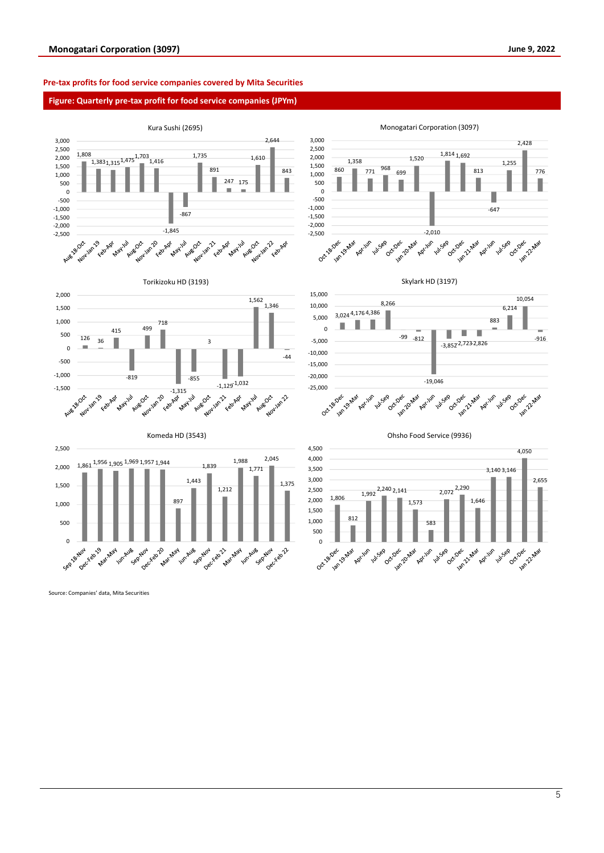2,428

ish 22 Mar

776

-916

4,050

Jan 21 Mar

2,655

Jan 21 Mar

#### **Pre-tax profits for food service companies covered by Mita Securities**

#### **Figure: Quarterly pre-tax profit for food service companies (JPYm)**



Source: Companies' data, Mita Securities

5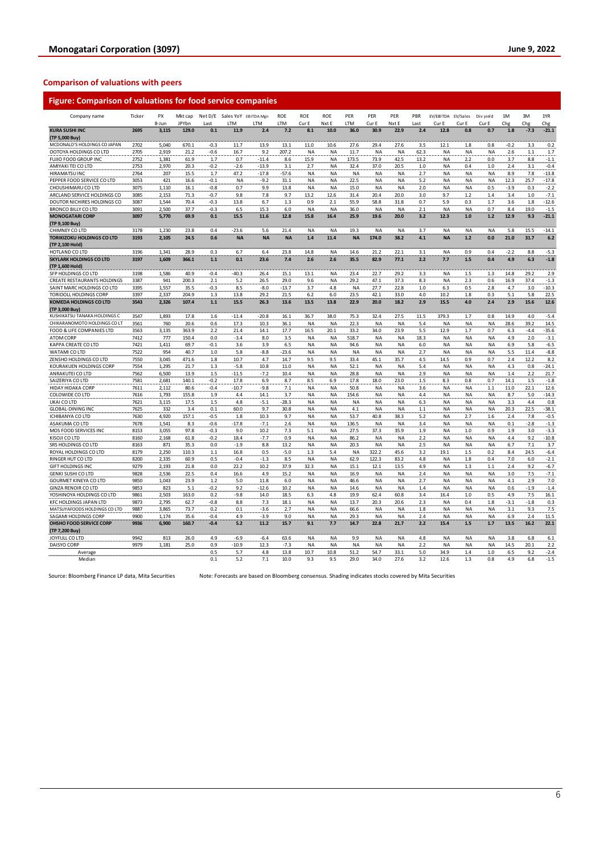### **Figure: Comparison of valuations for food service companies**

| Company name                                 | Ticker       | PX           | Mkt cap       |              |                | Net D/E Sales YoY EBITDA Mgn | <b>ROE</b>     | ROE         | ROE              | PER               | PER                | PER               | PBR        | EV/EBITDA EV/Sales |                  | Div yield        | 1M         | 3M          | 1YR              |
|----------------------------------------------|--------------|--------------|---------------|--------------|----------------|------------------------------|----------------|-------------|------------------|-------------------|--------------------|-------------------|------------|--------------------|------------------|------------------|------------|-------------|------------------|
|                                              |              | 8-Jun        | JPYbn         | Last         | LTM            | LTM                          | LTM            | Cur E       | Nxt E            | LTM               | Cur E              | Nxt E             | Last       | Cur E              | Cur E            | Cur E            | Chg        | Chg         | Chg              |
| <b>KURA SUSHI INC</b>                        | 2695         | 3,115        | 129.0         | 0.1          | 11.9           | 2.4                          | 7.2            | 8.1         | 10.0             | 36.0              | 30.9               | 22.9              | 2.4        | 12.8               | 0.8              | 0.7              | 1.8        | $-7.3$      | $-21.1$          |
| (TP 5,000 Buy)                               |              |              |               |              |                |                              |                |             |                  |                   |                    |                   |            |                    |                  |                  |            |             |                  |
| MCDONALD'S HOLDINGS CO JAPAN                 | 2702         | 5,040        | 670.1         | $-0.3$       | 11.7           | 13.9                         | 13.1           | 11.0        | 10.6             | 27.6              | 29.4               | 27.6              | 3.5        | 12.1               | 1.8              | 0.8              | $-0.2$     | 3.3         | 0.2              |
| OOTOYA HOLDINGS CO LTD                       | 2705         | 2,919        | 21.2          | $-0.6$       | 16.7           | 9.2                          | 207.2          | <b>NA</b>   | <b>NA</b>        | 11.7              | <b>NA</b>          | <b>NA</b>         | 62.3       | <b>NA</b>          | <b>NA</b>        | <b>NA</b>        | 2.6        | $1.1$       | 1.7              |
| FUJIO FOOD GROUP INC                         | 2752         | 1,381        | 61.9          | 1.7          | 0.7            | $-11.4$                      | 8.6            | 15.9        | <b>NA</b>        | 173.5             | 73.9               | 42.5              | 13.2       | <b>NA</b>          | 2.2              | 0.0              | 3.7        | 8.8         | $-1.1$           |
| AMIYAKI TEI CO LTD                           | 2753         | 2,970        | 20.3          | $-0.2$       | $-2.6$         | $-13.9$                      | 3.1            | 2.7         | <b>NA</b>        | 32.4              | 37.0               | 20.5              | 1.0        | <b>NA</b>          | 0.4              | 1.0              | 2.4        | 3.1         | $-0.4$           |
| <b>HIRAMATSU INC</b>                         | 2764         | 207          | 15.5          | 1.7          | 47.2           | $-17.8$                      | $-57.6$        | NA          | NA               | <b>NA</b>         | <b>NA</b>          | <b>NA</b>         | 2.7        | NA                 | <b>NA</b>        | <b>NA</b>        | 8.9        | 7.8         | $-13.8$          |
| PEPPER FOOD SERVICE CO LTD                   | 3053         | 421          | 16.6          | $-0.1$       | <b>NA</b>      | $-9.2$                       | 31.1           | NA          | <b>NA</b>        | 22.5              | <b>NA</b>          | NA                | 5.2        | <b>NA</b>          | <b>NA</b>        | <b>NA</b>        | 12.3       | 25.7        | $-17.8$          |
| CHOUSHIMARU CO LTD                           | 3075         | 1,110        | 16.1          | $-0.8$       | 0.7            | 9.9                          | 13.8           | NA          | <b>NA</b>        | 15.0              | <b>NA</b>          | <b>NA</b>         | 2.0        | NA                 | <b>NA</b>        | 0.5              | $-3.9$     | 0.3         | $-2.2$           |
| ARCLAND SERVICE HOLDINGS CO                  | 3085         | 2,153        | 71.3          | $-0.7$       | 9.8            | 7.8                          | 9.7            | 13.2        | 12.6             | 31.4              | 20.4               | 20.0              | 3.0        | 9.7                | $1.2$            | 1.4              | 3.4        | 1.0         | $-7.1$           |
| DOUTOR NICHIRES HOLDINGS CO                  | 3087         | 1,544        | 70.4          | $-0.3$       | 13.8           | 6.7                          | 1.3            | 0.9         | 2.1              | 55.9              | 58.8               | 31.8              | 0.7        | 5.9                | 0.3              | 1.7              | 3.6        | 1.8         | $-12.6$          |
| <b>BRONCO BILLY CO LTD</b>                   | 3091         | 2,500        | 37.7          | $-0.3$       | 6.5            | 15.3                         | 6.0            | <b>NA</b>   | NA               | 36.0              | <b>NA</b>          | <b>NA</b>         | 2.1        | <b>NA</b>          | <b>NA</b>        | 0.7              | 8.4        | 19.0        | $-1.5$           |
| <b>MONOGATARI CORP</b>                       | 3097         | 5,770        | 69.9          | 0.1          | 15.5           | 11.6                         | 12.8           | 15.8        | 16.4             | 25.9              | 19.6               | 20.0              | 3.2        | 12.3               | 1.0              | 1.2              | 12.9       | 9.3         | $-21.1$          |
| (TP 9,100 Buy)                               |              |              |               |              |                |                              |                |             |                  |                   |                    |                   |            |                    |                  |                  |            |             |                  |
| CHIMNEY CO LTD                               | 3178         | 1.230        | 23.8          | 0.4          | $-23.6$        | 5.6                          | 21.4           | <b>NA</b>   | <b>NA</b>        | 19.3              | <b>NA</b>          | <b>NA</b>         | 3.7        | <b>NA</b>          | <b>NA</b>        | <b>NA</b>        | 5.8        | 15.5        | $-14.1$          |
| <b>TORIKIZOKU HOLDINGS CO LTD</b>            | 3193         | 2,105        | 24.5          | 0.6          | <b>NA</b>      | <b>NA</b>                    | <b>NA</b>      | 1.4         | 11.4             | <b>NA</b>         | 174.0              | 38.2              | 4.1        | <b>NA</b>          | $1.2$            | 0.0              | 21.0       | 31.7        | 6.2              |
| (TP 2,100 Hold)<br>HOTLAND CO LTD            | 3196         | 1.341        | 28.9          |              |                | 6.4                          |                |             |                  | 14.6              | 21.2               | 221               | 3.1        |                    | 0.9              | 0.4              | $-2.2$     | 8.8         |                  |
| <b>SKYLARK HOLDINGS CO LTD</b>               | 3197         | 1,609        | 366.1         | 0.3<br>$1.1$ | 6.7<br>0.1     | 23.6                         | 23.8<br>7.4    | 14.8<br>2.6 | <b>NA</b><br>2.6 | 35.5              | 82.9               | 77.1              | 2.2        | <b>NA</b><br>7.7   | 1.5              | 0.4              | 4.9        | 6.3         | $-5.3$<br>$-1.8$ |
| (TP 1,600 Hold)                              |              |              |               |              |                |                              |                |             |                  |                   |                    |                   |            |                    |                  |                  |            |             |                  |
| SFP HOLDINGS CO LTD                          | 3198         | 1,586        | 40.9          | $-0.4$       | $-40.3$        | 26.4                         | 15.1           | 13.1        | NA               | 23.4              | 22.7               | 29.2              | 3.3        | <b>NA</b>          | 1.5              | 1.3              | 14.8       | 29.2        | 2.9              |
| CREATE RESTAURANTS HOLDINGS                  | 3387         | 941          | 200.3         | 2.1          | 5.2            | 26.5                         | 29.0           | 9.6         | <b>NA</b>        | 29.2              | 47.1               | 37.3              | 8.3        | <b>NA</b>          | 2.3              | 0.6              | 16.9       | 37.4        | $-1.3$           |
| SAINT MARC HOLDINGS CO LTD                   | 3395         | 1,557        | 35.5          | $-0.3$       | 8.5            | $-8.0$                       | $-13.7$        | 3.7         | 4.8              | ΝA                | 27.7               | 22.8              | 1.0        | 6.3                | 0.5              | 2.8              | 4.7        | 3.0         | $-10.3$          |
| TORIDOLL HOLDINGS CORP                       | 3397         | 2.337        | 204.9         | 1.3          | 13.8           | 29.2                         | 21.5           | 6.2         | 6.0              | 23.5              | 42.1               | 33.0              | 4.0        | 10.2               | 1.8              | 0.3              | 5.1        | 5.8         | 22.5             |
| <b>KOMEDA HOLDINGS CO LTD</b>                | 3543         | 2,326        | 107.4         | $1.1$        | 15.5           | 26.3                         | 13.6           | 13.5        | 13.8             | 22.9              | 20.0               | 18.2              | 2.9        | 15.5               | 4.0              | 2.4              | 2.9        | 15.6        | 12.6             |
| (TP 3,000 Buy)                               |              |              |               |              |                |                              |                |             |                  |                   |                    |                   |            |                    |                  |                  |            |             |                  |
| KUSHIKATSU TANAKA HOLDINGS C                 | 3547         | 1,893        | 17.8          | 1.6          | $-11.4$        | $-20.8$                      | 16.1           | 36.7        | 38.0             | 75.3              | 32.4               | 27.5              | 11.5       | 379.3              | $1.7\,$          | 0.8              | 14.9       | 4.0         | $-5.4$           |
| CHIKARANOMOTO HOLDINGS CO LT                 | 3561         | 760          | 20.6          | 0.6          | 17.3           | 10.3                         | 36.1           | <b>NA</b>   | <b>NA</b>        | 22.3              | <b>NA</b>          | <b>NA</b>         | 5.4        | <b>NA</b>          | <b>NA</b>        | <b>NA</b>        | 28.6       | 39.2        | 14.5             |
| FOOD & LIFE COMPANIES LTD                    | 3563         | 3,135        | 363.9         | 2.2          | 21.4           | 14.1                         | 17.7           | 16.5        | 20.1             | 33.2              | 34.0               | 23.9              | 5.5        | 12.9               | 1.7              | 0.7              | 6.3        | $-4.4$      | $-35.6$          |
| ATOM CORP                                    | 7412         | 777          | 150.4         | 0.0          | $-3.4$         | 8.0                          | 3.5            | ΝA          | ΝA               | 518.7             | <b>NA</b>          | NA                | 18.3       | NA                 | <b>NA</b>        | <b>NA</b>        | 4.9        | $2.0\,$     | $-3.1$           |
| KAPPA CREATE CO LTD                          | 7421         | 1,411        | 69.7          | $-0.1$       | 3.6            | 3.9                          | 6.5            | <b>NA</b>   | NA               | 94.6              | <b>NA</b>          | <b>NA</b>         | 6.0        | <b>NA</b>          | <b>NA</b>        | <b>NA</b>        | 6.9        | 5.8         | $-6.5$           |
| WATAMI CO LTD                                | 7522         | 954          | 40.7          | 1.0          | 5.8            | $-8.8$                       | -23.6          | <b>NA</b>   | <b>NA</b>        | <b>NA</b>         | <b>NA</b>          | <b>NA</b>         | 2.7        | <b>NA</b>          | <b>NA</b>        | <b>NA</b>        | 5.5        | 11.4        | $-8.8$           |
| ZENSHO HOLDINGS CO LTD                       | 7550         | 3,045        | 471.6         | 1.8          | 10.7           | 4.7                          | 14.7           | 9.5         | 9.5              | 33.4              | 45.1               | 35.7              | 4.5        | 14.5               | 0.9              | 0.7              | 2.4        | 12.2        | 8.2              |
| KOURAKUEN HOLDINGS CORP                      | 7554         | 1,295        | 21.7          | 1.3          | $-5.8$         | 10.8                         | 11.0           | <b>NA</b>   | NA               | 52.1              | <b>NA</b>          | <b>NA</b>         | 5.4        | <b>NA</b>          | <b>NA</b>        | <b>NA</b>        | 4.3        | 0.8         | $-24.1$          |
| ANRAKUTEI CO LTD                             | 7562         | 6,500        | 13.9          | 1.5          | $-11.5$        | $-7.2$                       | 10.4           | NA          | <b>NA</b>        | 28.8              | <b>NA</b>          | <b>NA</b>         | 2.9        | <b>NA</b>          | <b>NA</b>        | <b>NA</b>        | 1.4        | 2.2         | 21.7             |
| SAIZERIYA CO LTD                             | 7581         | 2,681        | 140.1         | $-0.2$       | 17.8           | 6.9                          | 8.7            | 8.5         | 6.9              | 17.8              | 18.0               | 23.0              | $1.5$      | 8.3                | 0.8              | 0.7              | 14.1       | 1.5         | $-1.8$           |
| HIDAY HIDAKA CORP                            | 7611         | 2,112        | 80.6          | $-0.4$       | $-10.7$        | $-9.8$                       | 7.1            | <b>NA</b>   | <b>NA</b>        | 50.8              | <b>NA</b>          | <b>NA</b>         | 3.6        | <b>NA</b>          | <b>NA</b>        | 1.1              | 11.0       | 22.1        | 12.6             |
| COLOWIDE CO LTD                              | 7616         | 1,793        | 155.8         | 1.9          | 4.4            | 14.1                         | 3.7            | NA          | NA               | 154.6             | <b>NA</b>          | <b>NA</b>         | 4.4        | <b>NA</b>          | <b>NA</b>        | <b>NA</b>        | 8.7        | 5.0         | $-14.3$          |
| UKAI CO LTD                                  | 7621         | 3,115        | 17.5          | 1.5          | 4.8            | $-5.1$                       | $-28.3$        | NA          | NA               | <b>NA</b>         | <b>NA</b>          | <b>NA</b>         | 6.3        | <b>NA</b>          | <b>NA</b>        | <b>NA</b>        | 3.3        | 4.4         | 0.8              |
| <b>GLOBAL-DINING INC</b>                     | 7625         | 332          | 3.4           | 0.1          | 60.0           | 9.7                          | 30.8           | <b>NA</b>   | <b>NA</b>        | 4.1               | <b>NA</b>          | <b>NA</b>         | 1.1        | <b>NA</b>          | <b>NA</b>        | <b>NA</b>        | 20.3       | 22.5        | $-38.1$          |
| ICHIBANYA CO LTD                             | 7630         | 4,920        | 157.1         | $-0.5$       | 1.8            | 10.3                         | 9.7            | <b>NA</b>   | NA               | 53.7              | 40.8               | 38.3              | 5.2        | <b>NA</b>          | 2.7              | 1.6              | 2.4        | 7.8         | $-0.5$           |
| ASAKUMA CO LTD                               | 7678         | 1,541        | 8.3           | -0.6         | $-17.8$        | $-7.1$                       | 2.6            | NA          | NA               | 136.5             | <b>NA</b>          | <b>NA</b>         | 3.4        | NA                 | <b>NA</b>        | <b>NA</b>        | 0.1        | $-2.8$      | $-1.3$           |
| MOS FOOD SERVICES INC                        | 8153         | 3,055        | 97.8          | $-0.3$       | 9.0            | 10.2                         | 7.3            | 5.1         | <b>NA</b>        | 27.5              | 37.3               | 35.9              | 1.9        | <b>NA</b>          | $1.0\,$          | 0.9              | 1.9        | 3.0         | $-3.3$           |
| KISOJI CO LTD                                | 8160         | 2,168        | 61.8          | $-0.2$       | 18.4           | -7.7                         | 0.9            | NA          | <b>NA</b>        | 86.2              | <b>NA</b>          | <b>NA</b>         | 2.2        | <b>NA</b>          | <b>NA</b>        | <b>NA</b>        | 4.4        | 9.2         | $-10.8$          |
| SRS HOLDINGS CO LTD<br>ROYAL HOLDINGS CO LTD | 8163<br>8179 | 871<br>2,250 | 35.3<br>110.3 | 0.0<br>1.1   | $-1.9$<br>16.8 | 8.8<br>0.5                   | 13.2<br>$-5.0$ | NA<br>1.3   | NA<br>5.4        | 20.3<br><b>NA</b> | <b>NA</b><br>322.2 | <b>NA</b><br>45.6 | 2.5<br>3.2 | <b>NA</b><br>19.1  | <b>NA</b><br>1.5 | <b>NA</b><br>0.2 | 6.7<br>8.4 | 7.1<br>24.5 | 3.7<br>$-6.4$    |
| RINGER HUT CO LTD                            | 8200         | 2,335        | 60.9          | 0.5          | $-0.4$         | $-1.3$                       | 8.5            | <b>NA</b>   | <b>NA</b>        | 62.9              | 122.3              | 83.2              | 4.8        | <b>NA</b>          | 1.8              | 0.4              | 7.0        | 6.0         | $-2.1$           |
| <b>GIFT HOLDINGS INC</b>                     | 9279         | 2,193        | 21.8          | 0.0          | 22.2           | 10.2                         | 37.9           | 32.3        | NA               | 15.1              | 12.1               | 13.5              | 4.9        | <b>NA</b>          | 1.3              | 1.1              | 2.4        | 9.2         | $-6.7$           |
| <b>GENKI SUSHI CO LTD</b>                    | 9828         | 2,536        | 22.5          | 0.4          | 16.6           | 4.9                          | 15.2           | <b>NA</b>   | <b>NA</b>        | 16.9              | <b>NA</b>          | <b>NA</b>         | 2.4        | <b>NA</b>          | <b>NA</b>        | <b>NA</b>        | 3.0        | 7.5         | $-7.1$           |
| <b>GOURMET KINEYA CO LTD</b>                 | 9850         | 1.043        | 23.9          | 1.2          | 5.0            | 11.8                         | 6.0            | <b>NA</b>   | <b>NA</b>        | 46.6              | <b>NA</b>          | <b>NA</b>         | 2.7        | <b>NA</b>          | <b>NA</b>        | <b>NA</b>        | 4.1        | 2.9         | 7.0              |
| <b>GINZA RENOIR CO LTD</b>                   | 9853         | 823          | 5.1           | $-0.2$       | 9.2            | $-12.6$                      | 10.2           | <b>NA</b>   | NA               | 14.6              | NA                 | <b>NA</b>         | $1.4\,$    | NA                 | <b>NA</b>        | NA               | 0.6        | $-1.9$      | $-1.4$           |
| YOSHINOYA HOLDINGS CO LTD                    | 9861         | 2,503        | 163.0         | 0.2          | $-9.8$         | 14.0                         | 18.5           | 6.3         | 4.8              | 19.9              | 62.4               | 60.8              | 3.4        | 16.4               | 1.0              | 0.5              | 4.9        | 7.5         | 16.1             |
| KFC HOLDINGS JAPAN LTD                       | 9873         | 2,795        | 62.7          | $-0.8$       | 8.8            | 7.3                          | 18.1           | NA          | <b>NA</b>        | 13.7              | 20.3               | 20.6              | 2.3        | <b>NA</b>          | 0.4              | 1.8              | $-3.1$     | $-1.8$      | 0.3              |
| MATSUYAFOODS HOLDINGS CO LTD                 | 9887         | 3,865        | 73.7          | 0.2          | 0.1            | $-3.6$                       | 2.7            | <b>NA</b>   | NA               | 66.6              | <b>NA</b>          | <b>NA</b>         | 1.8        | <b>NA</b>          | <b>NA</b>        | <b>NA</b>        | 3.1        | 9.3         | 7.5              |
| SAGAMI HOLDINGS CORP                         | 9900         | 1,174        | 35.6          | $-0.4$       | 4.9            | $-3.9$                       | 9.0            | <b>NA</b>   | NA               | 29.3              | <b>NA</b>          | <b>NA</b>         | 2.4        | <b>NA</b>          | <b>NA</b>        | <b>NA</b>        | 6.9        | 2.4         | 11.5             |
| OHSHO FOOD SERVICE CORP                      | 9936         | 6,900        | 160.7         | $-0.4$       | 5.2            | 11.2                         | 15.7           | 9.1         | 7.7              | 14.7              | 22.8               | 21.7              | 2.2        | 15.4               | 1.5              | 1.7              | 13.5       | 16.2        | 22.1             |
| (TP 7,200 Buy)                               |              |              |               |              |                |                              |                |             |                  |                   |                    |                   |            |                    |                  |                  |            |             |                  |
| JOYFULL CO LTD                               | 9942         | 813          | 26.0          | 4.9          | $-6.9$         | $-6.4$                       | 63.6           | <b>NA</b>   | NA               | 9.9               | NA                 | <b>NA</b>         | 4.8        | <b>NA</b>          | <b>NA</b>        | <b>NA</b>        | 3.8        | 6.8         | 6.1              |
| DAISYO CORP                                  | 9979         | 1,181        | 25.0          | 0.9          | $-10.9$        | 12.3                         | $-7.3$         | <b>NA</b>   | <b>NA</b>        | <b>NA</b>         | <b>NA</b>          | <b>NA</b>         | 2.2        | <b>NA</b>          | <b>NA</b>        | <b>NA</b>        | 14.5       | 20.1        | 2.2              |
| Average                                      |              |              |               | 0.5          | 5.7            | 4.8                          | 13.8           | 10.7        | 10.8             | 51.2              | 54.7               | 33.1              | 5.0        | 34.9               | 1.4              | 1.0              | 6.5        | 9.2         | $-2.4$           |
| Median                                       |              |              |               | 0.1          | 5.2            | 7.1                          | 10.0           | 9.3         | 9.5              | 29.0              | 34.0               | 27.6              | 3.2        | 12.6               | 1.3              | 0.8              | 4.9        | 6.8         | $-1.5$           |

Source: Bloomberg Finance LP data, Mita Securities Note: Forecasts are based on Bloomberg consensus. Shading indicates stocks covered by Mita Securities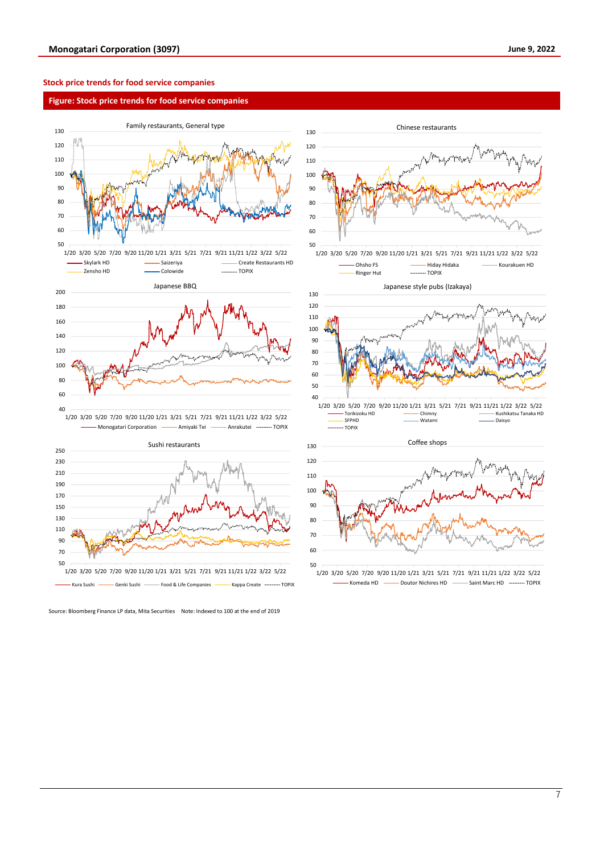#### **Stock price trends for food service companies**

#### **Figure: Stock price trends for food service companies**





Source: Bloomberg Finance LP data, Mita Securities Note: Indexed to 100 at the end of 2019



1/20 3/20 5/20 7/20 9/20 11/20 1/21 3/21 5/21 7/21 9/21 11/21 1/22 3/22 5/22 Komeda HD **----** Doutor Nichires HD ------- Saint Marc HD --------- TOPIX